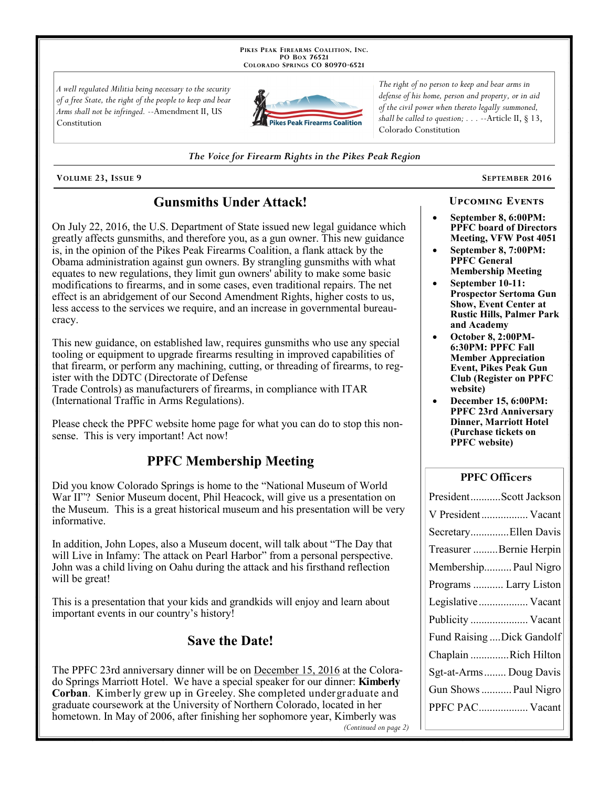PIKES PEAK FIREARMS COALITION, INC. PO Box 76521 COLORADO SPRINGS CO 80970-6521

A well regulated Militia being necessary to the security of a free State, the right of the people to keep and bear Arms shall not be infringed. --Amendment II, US Constitution



The right of no person to keep and bear arms in defense of his home, person and property, or in aid of the civil power when thereto legally summoned, shall be called to question;  $\ldots$  --Article II, § 13, Colorado Constitution

The Voice for Firearm Rights in the Pikes Peak Region

VOLUME 23, ISSUE 9

# **Gunsmiths Under Attack!**

On July 22, 2016, the U.S. Department of State issued new legal guidance which greatly affects gunsmiths, and therefore you, as a gun owner. This new guidance is, in the opinion of the Pikes Peak Firearms Coalition, a flank attack by the Obama administration against gun owners. By strangling gunsmiths with what equates to new regulations, they limit gun owners' ability to make some basic modifications to firearms, and in some cases, even traditional repairs. The net effect is an abridgement of our Second Amendment Rights, higher costs to us, less access to the services we require, and an increase in governmental bureaucracy.

This new guidance, on established law, requires gunsmiths who use any special tooling or equipment to upgrade firearms resulting in improved capabilities of that firearm, or perform any machining, cutting, or threading of firearms, to register with the DDTC (Directorate of Defense

Trade Controls) as manufacturers of firearms, in compliance with ITAR (International Traffic in Arms Regulations).

Please check the PPFC website home page for what you can do to stop this nonsense. This is very important! Act now!

# **PPFC Membership Meeting**

Did you know Colorado Springs is home to the "National Museum of World War II"? Senior Museum docent, Phil Heacock, will give us a presentation on the Museum. This is a great historical museum and his presentation will be very informative.

In addition, John Lopes, also a Museum docent, will talk about "The Day that will Live in Infamy: The attack on Pearl Harbor" from a personal perspective. John was a child living on Oahu during the attack and his firsthand reflection will be great!

This is a presentation that your kids and grandkids will enjoy and learn about important events in our country's history!

## **Save the Date!**

The PPFC 23rd anniversary dinner will be on December 15, 2016 at the Colorado Springs Marriott Hotel. We have a special speaker for our dinner: Kimberly **Corban.** Kimberly grew up in Greeley. She completed undergraduate and graduate coursework at the University of Northern Colorado, located in her hometown. In May of 2006, after finishing her sophomore year, Kimberly was (Continued on page 2) SEPTEMBER 2016

September 8, 6:00PM: **PPFC** board of Directors Meeting, VFW Post 4051

**UPCOMING EVENTS** 

- September 8, 7:00PM: **PPFC General Membership Meeting**
- September 10-11: **Prospector Sertoma Gun Show, Event Center at Rustic Hills, Palmer Park** and Academy
- October 8, 2:00PM-6:30PM: PPFC Fall **Member Appreciation Event, Pikes Peak Gun Club (Register on PPFC)** website)
- December 15, 6:00PM: **PPFC 23rd Anniversary Dinner, Marriott Hotel** (Purchase tickets on **PPFC** website)

#### **PPFC Officers**

| PresidentScott Jackson    |
|---------------------------|
| V President Vacant        |
| SecretaryEllen Davis      |
| Treasurer Bernie Herpin   |
| Membership Paul Nigro     |
| Programs  Larry Liston    |
| Legislative Vacant        |
| Publicity  Vacant         |
| Fund Raising Dick Gandolf |
| Chaplain Rich Hilton      |
| Sgt-at-Arms Doug Davis    |
| Gun Shows  Paul Nigro     |
| PPFC PAC Vacant           |
|                           |